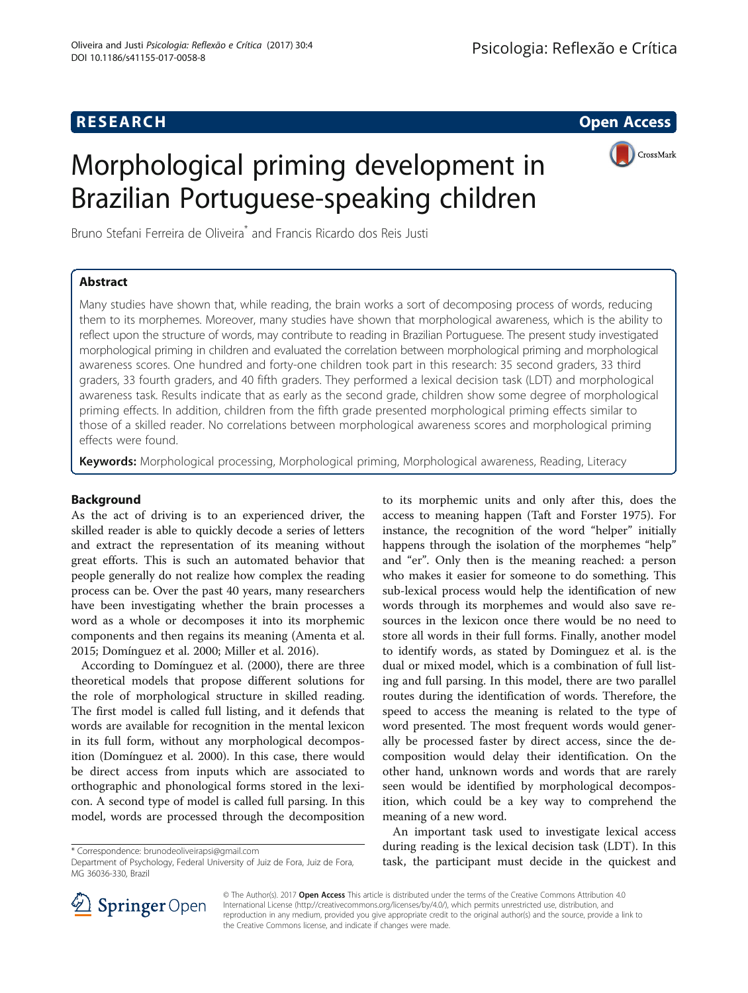## **RESEARCH CHE Open Access**

CrossMark

# Morphological priming development in Brazilian Portuguese-speaking children

Bruno Stefani Ferreira de Oliveira<sup>\*</sup> and Francis Ricardo dos Reis Justi

## Abstract

Many studies have shown that, while reading, the brain works a sort of decomposing process of words, reducing them to its morphemes. Moreover, many studies have shown that morphological awareness, which is the ability to reflect upon the structure of words, may contribute to reading in Brazilian Portuguese. The present study investigated morphological priming in children and evaluated the correlation between morphological priming and morphological awareness scores. One hundred and forty-one children took part in this research: 35 second graders, 33 third graders, 33 fourth graders, and 40 fifth graders. They performed a lexical decision task (LDT) and morphological awareness task. Results indicate that as early as the second grade, children show some degree of morphological priming effects. In addition, children from the fifth grade presented morphological priming effects similar to those of a skilled reader. No correlations between morphological awareness scores and morphological priming effects were found.

Keywords: Morphological processing, Morphological priming, Morphological awareness, Reading, Literacy

## Background

As the act of driving is to an experienced driver, the skilled reader is able to quickly decode a series of letters and extract the representation of its meaning without great efforts. This is such an automated behavior that people generally do not realize how complex the reading process can be. Over the past 40 years, many researchers have been investigating whether the brain processes a word as a whole or decomposes it into its morphemic components and then regains its meaning (Amenta et al. [2015](#page-6-0); Domínguez et al. [2000;](#page-7-0) Miller et al. [2016\)](#page-7-0).

According to Domínguez et al. [\(2000\)](#page-7-0), there are three theoretical models that propose different solutions for the role of morphological structure in skilled reading. The first model is called full listing, and it defends that words are available for recognition in the mental lexicon in its full form, without any morphological decomposition (Domínguez et al. [2000](#page-7-0)). In this case, there would be direct access from inputs which are associated to orthographic and phonological forms stored in the lexicon. A second type of model is called full parsing. In this model, words are processed through the decomposition

\* Correspondence: [brunodeoliveirapsi@gmail.com](mailto:brunodeoliveirapsi@gmail.com)

to its morphemic units and only after this, does the access to meaning happen (Taft and Forster [1975](#page-7-0)). For instance, the recognition of the word "helper" initially happens through the isolation of the morphemes "help" and "er". Only then is the meaning reached: a person who makes it easier for someone to do something. This sub-lexical process would help the identification of new words through its morphemes and would also save resources in the lexicon once there would be no need to store all words in their full forms. Finally, another model to identify words, as stated by Dominguez et al. is the dual or mixed model, which is a combination of full listing and full parsing. In this model, there are two parallel routes during the identification of words. Therefore, the speed to access the meaning is related to the type of word presented. The most frequent words would generally be processed faster by direct access, since the decomposition would delay their identification. On the other hand, unknown words and words that are rarely seen would be identified by morphological decomposition, which could be a key way to comprehend the meaning of a new word.

An important task used to investigate lexical access during reading is the lexical decision task (LDT). In this task, the participant must decide in the quickest and



© The Author(s). 2017 Open Access This article is distributed under the terms of the Creative Commons Attribution 4.0 International License ([http://creativecommons.org/licenses/by/4.0/\)](http://creativecommons.org/licenses/by/4.0/), which permits unrestricted use, distribution, and reproduction in any medium, provided you give appropriate credit to the original author(s) and the source, provide a link to the Creative Commons license, and indicate if changes were made.

Department of Psychology, Federal University of Juiz de Fora, Juiz de Fora, MG 36036-330, Brazil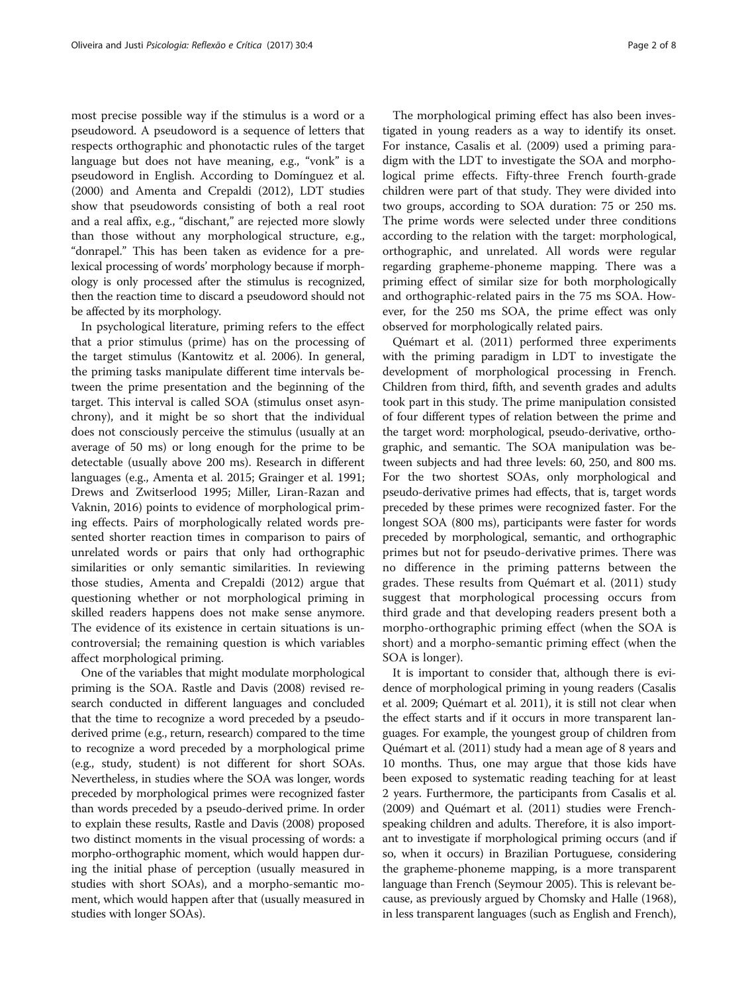most precise possible way if the stimulus is a word or a pseudoword. A pseudoword is a sequence of letters that respects orthographic and phonotactic rules of the target language but does not have meaning, e.g., "vonk" is a pseudoword in English. According to Domínguez et al. ([2000](#page-7-0)) and Amenta and Crepaldi ([2012](#page-6-0)), LDT studies show that pseudowords consisting of both a real root and a real affix, e.g., "dischant," are rejected more slowly than those without any morphological structure, e.g., "donrapel." This has been taken as evidence for a prelexical processing of words' morphology because if morphology is only processed after the stimulus is recognized, then the reaction time to discard a pseudoword should not be affected by its morphology.

In psychological literature, priming refers to the effect that a prior stimulus (prime) has on the processing of the target stimulus (Kantowitz et al. [2006\)](#page-7-0). In general, the priming tasks manipulate different time intervals between the prime presentation and the beginning of the target. This interval is called SOA (stimulus onset asynchrony), and it might be so short that the individual does not consciously perceive the stimulus (usually at an average of 50 ms) or long enough for the prime to be detectable (usually above 200 ms). Research in different languages (e.g., Amenta et al. [2015;](#page-6-0) Grainger et al. [1991](#page-7-0); Drews and Zwitserlood [1995;](#page-7-0) Miller, Liran-Razan and Vaknin, [2016](#page-7-0)) points to evidence of morphological priming effects. Pairs of morphologically related words presented shorter reaction times in comparison to pairs of unrelated words or pairs that only had orthographic similarities or only semantic similarities. In reviewing those studies, Amenta and Crepaldi [\(2012\)](#page-6-0) argue that questioning whether or not morphological priming in skilled readers happens does not make sense anymore. The evidence of its existence in certain situations is uncontroversial; the remaining question is which variables affect morphological priming.

One of the variables that might modulate morphological priming is the SOA. Rastle and Davis ([2008\)](#page-7-0) revised research conducted in different languages and concluded that the time to recognize a word preceded by a pseudoderived prime (e.g., return, research) compared to the time to recognize a word preceded by a morphological prime (e.g., study, student) is not different for short SOAs. Nevertheless, in studies where the SOA was longer, words preceded by morphological primes were recognized faster than words preceded by a pseudo-derived prime. In order to explain these results, Rastle and Davis [\(2008](#page-7-0)) proposed two distinct moments in the visual processing of words: a morpho-orthographic moment, which would happen during the initial phase of perception (usually measured in studies with short SOAs), and a morpho-semantic moment, which would happen after that (usually measured in studies with longer SOAs).

The morphological priming effect has also been investigated in young readers as a way to identify its onset. For instance, Casalis et al. ([2009](#page-6-0)) used a priming paradigm with the LDT to investigate the SOA and morphological prime effects. Fifty-three French fourth-grade children were part of that study. They were divided into two groups, according to SOA duration: 75 or 250 ms. The prime words were selected under three conditions according to the relation with the target: morphological, orthographic, and unrelated. All words were regular regarding grapheme-phoneme mapping. There was a priming effect of similar size for both morphologically and orthographic-related pairs in the 75 ms SOA. However, for the 250 ms SOA, the prime effect was only observed for morphologically related pairs.

Quémart et al. ([2011](#page-7-0)) performed three experiments with the priming paradigm in LDT to investigate the development of morphological processing in French. Children from third, fifth, and seventh grades and adults took part in this study. The prime manipulation consisted of four different types of relation between the prime and the target word: morphological, pseudo-derivative, orthographic, and semantic. The SOA manipulation was between subjects and had three levels: 60, 250, and 800 ms. For the two shortest SOAs, only morphological and pseudo-derivative primes had effects, that is, target words preceded by these primes were recognized faster. For the longest SOA (800 ms), participants were faster for words preceded by morphological, semantic, and orthographic primes but not for pseudo-derivative primes. There was no difference in the priming patterns between the grades. These results from Quémart et al. [\(2011](#page-7-0)) study suggest that morphological processing occurs from third grade and that developing readers present both a morpho-orthographic priming effect (when the SOA is short) and a morpho-semantic priming effect (when the SOA is longer).

It is important to consider that, although there is evidence of morphological priming in young readers (Casalis et al. [2009;](#page-6-0) Quémart et al. [2011\)](#page-7-0), it is still not clear when the effect starts and if it occurs in more transparent languages. For example, the youngest group of children from Quémart et al. [\(2011\)](#page-7-0) study had a mean age of 8 years and 10 months. Thus, one may argue that those kids have been exposed to systematic reading teaching for at least 2 years. Furthermore, the participants from Casalis et al. ([2009](#page-6-0)) and Quémart et al. [\(2011](#page-7-0)) studies were Frenchspeaking children and adults. Therefore, it is also important to investigate if morphological priming occurs (and if so, when it occurs) in Brazilian Portuguese, considering the grapheme-phoneme mapping, is a more transparent language than French (Seymour [2005](#page-7-0)). This is relevant because, as previously argued by Chomsky and Halle [\(1968](#page-6-0)), in less transparent languages (such as English and French),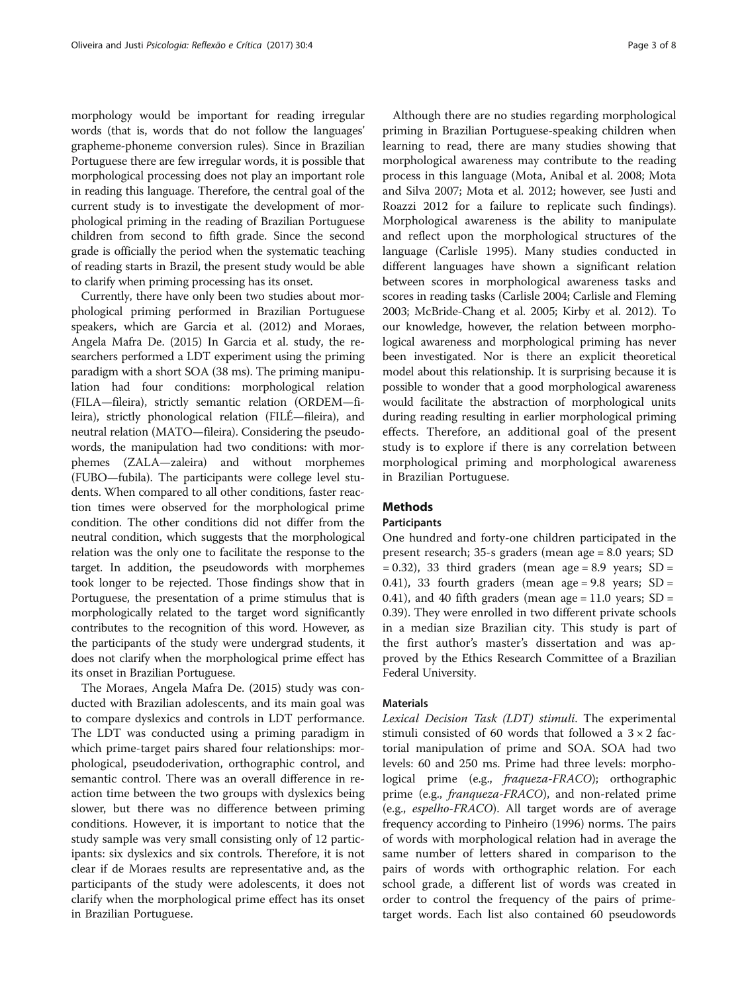morphology would be important for reading irregular words (that is, words that do not follow the languages' grapheme-phoneme conversion rules). Since in Brazilian Portuguese there are few irregular words, it is possible that morphological processing does not play an important role in reading this language. Therefore, the central goal of the current study is to investigate the development of morphological priming in the reading of Brazilian Portuguese children from second to fifth grade. Since the second grade is officially the period when the systematic teaching of reading starts in Brazil, the present study would be able to clarify when priming processing has its onset.

Currently, there have only been two studies about morphological priming performed in Brazilian Portuguese speakers, which are Garcia et al. [\(2012\)](#page-7-0) and Moraes, Angela Mafra De. ([2015\)](#page-7-0) In Garcia et al. study, the researchers performed a LDT experiment using the priming paradigm with a short SOA (38 ms). The priming manipulation had four conditions: morphological relation (FILA—fileira), strictly semantic relation (ORDEM—fileira), strictly phonological relation (FILÉ—fileira), and neutral relation (MATO—fileira). Considering the pseudowords, the manipulation had two conditions: with morphemes (ZALA—zaleira) and without morphemes (FUBO—fubila). The participants were college level students. When compared to all other conditions, faster reaction times were observed for the morphological prime condition. The other conditions did not differ from the neutral condition, which suggests that the morphological relation was the only one to facilitate the response to the target. In addition, the pseudowords with morphemes took longer to be rejected. Those findings show that in Portuguese, the presentation of a prime stimulus that is morphologically related to the target word significantly contributes to the recognition of this word. However, as the participants of the study were undergrad students, it does not clarify when the morphological prime effect has its onset in Brazilian Portuguese.

The Moraes, Angela Mafra De. [\(2015](#page-7-0)) study was conducted with Brazilian adolescents, and its main goal was to compare dyslexics and controls in LDT performance. The LDT was conducted using a priming paradigm in which prime-target pairs shared four relationships: morphological, pseudoderivation, orthographic control, and semantic control. There was an overall difference in reaction time between the two groups with dyslexics being slower, but there was no difference between priming conditions. However, it is important to notice that the study sample was very small consisting only of 12 participants: six dyslexics and six controls. Therefore, it is not clear if de Moraes results are representative and, as the participants of the study were adolescents, it does not clarify when the morphological prime effect has its onset in Brazilian Portuguese.

Although there are no studies regarding morphological priming in Brazilian Portuguese-speaking children when learning to read, there are many studies showing that morphological awareness may contribute to the reading process in this language (Mota, Anibal et al. [2008](#page-7-0); Mota and Silva [2007;](#page-7-0) Mota et al. [2012;](#page-7-0) however, see Justi and Roazzi [2012](#page-7-0) for a failure to replicate such findings). Morphological awareness is the ability to manipulate and reflect upon the morphological structures of the language (Carlisle [1995](#page-6-0)). Many studies conducted in different languages have shown a significant relation between scores in morphological awareness tasks and scores in reading tasks (Carlisle [2004;](#page-6-0) Carlisle and Fleming [2003;](#page-6-0) McBride-Chang et al. [2005;](#page-7-0) Kirby et al. [2012\)](#page-7-0). To our knowledge, however, the relation between morphological awareness and morphological priming has never been investigated. Nor is there an explicit theoretical model about this relationship. It is surprising because it is possible to wonder that a good morphological awareness would facilitate the abstraction of morphological units during reading resulting in earlier morphological priming effects. Therefore, an additional goal of the present study is to explore if there is any correlation between morphological priming and morphological awareness in Brazilian Portuguese.

#### **Methods**

#### **Participants**

One hundred and forty-one children participated in the present research; 35-s graders (mean age = 8.0 years; SD  $= 0.32$ ), 33 third graders (mean age  $= 8.9$  years; SD  $=$ 0.41), 33 fourth graders (mean age =  $9.8$  years; SD = 0.41), and 40 fifth graders (mean age  $= 11.0$  years; SD  $=$ 0.39). They were enrolled in two different private schools in a median size Brazilian city. This study is part of the first author's master's dissertation and was approved by the Ethics Research Committee of a Brazilian Federal University.

#### Materials

Lexical Decision Task (LDT) stimuli. The experimental stimuli consisted of 60 words that followed a  $3 \times 2$  factorial manipulation of prime and SOA. SOA had two levels: 60 and 250 ms. Prime had three levels: morphological prime (e.g., fraqueza-FRACO); orthographic prime (e.g., *franqueza-FRACO*), and non-related prime (e.g., espelho-FRACO). All target words are of average frequency according to Pinheiro ([1996](#page-7-0)) norms. The pairs of words with morphological relation had in average the same number of letters shared in comparison to the pairs of words with orthographic relation. For each school grade, a different list of words was created in order to control the frequency of the pairs of primetarget words. Each list also contained 60 pseudowords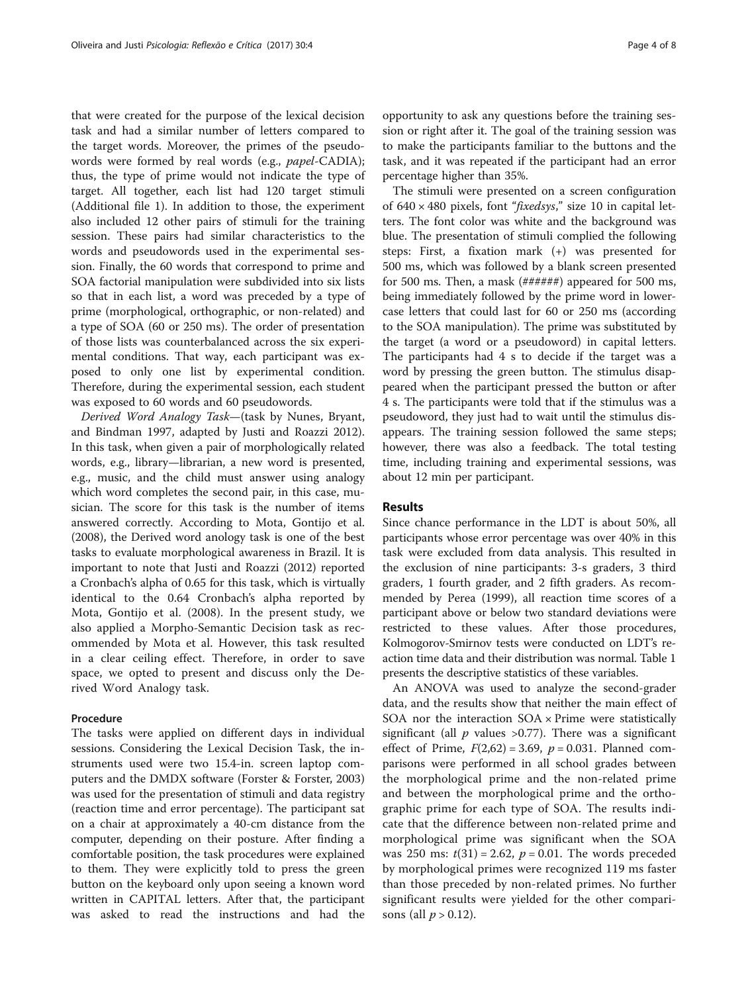that were created for the purpose of the lexical decision task and had a similar number of letters compared to the target words. Moreover, the primes of the pseudowords were formed by real words (e.g., *papel-CADIA*); thus, the type of prime would not indicate the type of target. All together, each list had 120 target stimuli (Additional file [1](#page-6-0)). In addition to those, the experiment also included 12 other pairs of stimuli for the training session. These pairs had similar characteristics to the words and pseudowords used in the experimental session. Finally, the 60 words that correspond to prime and SOA factorial manipulation were subdivided into six lists so that in each list, a word was preceded by a type of prime (morphological, orthographic, or non-related) and a type of SOA (60 or 250 ms). The order of presentation of those lists was counterbalanced across the six experimental conditions. That way, each participant was exposed to only one list by experimental condition. Therefore, during the experimental session, each student was exposed to 60 words and 60 pseudowords.

Derived Word Analogy Task—(task by Nunes, Bryant, and Bindman 1997, adapted by Justi and Roazzi [2012](#page-7-0)). In this task, when given a pair of morphologically related words, e.g., library—librarian, a new word is presented, e.g., music, and the child must answer using analogy which word completes the second pair, in this case, musician. The score for this task is the number of items answered correctly. According to Mota, Gontijo et al. ([2008](#page-7-0)), the Derived word anology task is one of the best tasks to evaluate morphological awareness in Brazil. It is important to note that Justi and Roazzi [\(2012\)](#page-7-0) reported a Cronbach's alpha of 0.65 for this task, which is virtually identical to the 0.64 Cronbach's alpha reported by Mota, Gontijo et al. [\(2008](#page-7-0)). In the present study, we also applied a Morpho-Semantic Decision task as recommended by Mota et al. However, this task resulted in a clear ceiling effect. Therefore, in order to save space, we opted to present and discuss only the Derived Word Analogy task.

#### Procedure

The tasks were applied on different days in individual sessions. Considering the Lexical Decision Task, the instruments used were two 15.4-in. screen laptop computers and the DMDX software (Forster & Forster, [2003](#page-7-0)) was used for the presentation of stimuli and data registry (reaction time and error percentage). The participant sat on a chair at approximately a 40-cm distance from the computer, depending on their posture. After finding a comfortable position, the task procedures were explained to them. They were explicitly told to press the green button on the keyboard only upon seeing a known word written in CAPITAL letters. After that, the participant was asked to read the instructions and had the opportunity to ask any questions before the training session or right after it. The goal of the training session was to make the participants familiar to the buttons and the task, and it was repeated if the participant had an error percentage higher than 35%.

The stimuli were presented on a screen configuration of  $640 \times 480$  pixels, font "fixedsys," size 10 in capital letters. The font color was white and the background was blue. The presentation of stimuli complied the following steps: First, a fixation mark (+) was presented for 500 ms, which was followed by a blank screen presented for 500 ms. Then, a mask  $(\# \# \# \# \# \#)$  appeared for 500 ms, being immediately followed by the prime word in lowercase letters that could last for 60 or 250 ms (according to the SOA manipulation). The prime was substituted by the target (a word or a pseudoword) in capital letters. The participants had 4 s to decide if the target was a word by pressing the green button. The stimulus disappeared when the participant pressed the button or after 4 s. The participants were told that if the stimulus was a pseudoword, they just had to wait until the stimulus disappears. The training session followed the same steps; however, there was also a feedback. The total testing time, including training and experimental sessions, was about 12 min per participant.

#### Results

Since chance performance in the LDT is about 50%, all participants whose error percentage was over 40% in this task were excluded from data analysis. This resulted in the exclusion of nine participants: 3-s graders, 3 third graders, 1 fourth grader, and 2 fifth graders. As recommended by Perea ([1999](#page-7-0)), all reaction time scores of a participant above or below two standard deviations were restricted to these values. After those procedures, Kolmogorov-Smirnov tests were conducted on LDT's reaction time data and their distribution was normal. Table [1](#page-4-0) presents the descriptive statistics of these variables.

An ANOVA was used to analyze the second-grader data, and the results show that neither the main effect of SOA nor the interaction SOA × Prime were statistically significant (all  $p$  values >0.77). There was a significant effect of Prime,  $F(2,62) = 3.69$ ,  $p = 0.031$ . Planned comparisons were performed in all school grades between the morphological prime and the non-related prime and between the morphological prime and the orthographic prime for each type of SOA. The results indicate that the difference between non-related prime and morphological prime was significant when the SOA was 250 ms:  $t(31) = 2.62$ ,  $p = 0.01$ . The words preceded by morphological primes were recognized 119 ms faster than those preceded by non-related primes. No further significant results were yielded for the other comparisons (all  $p > 0.12$ ).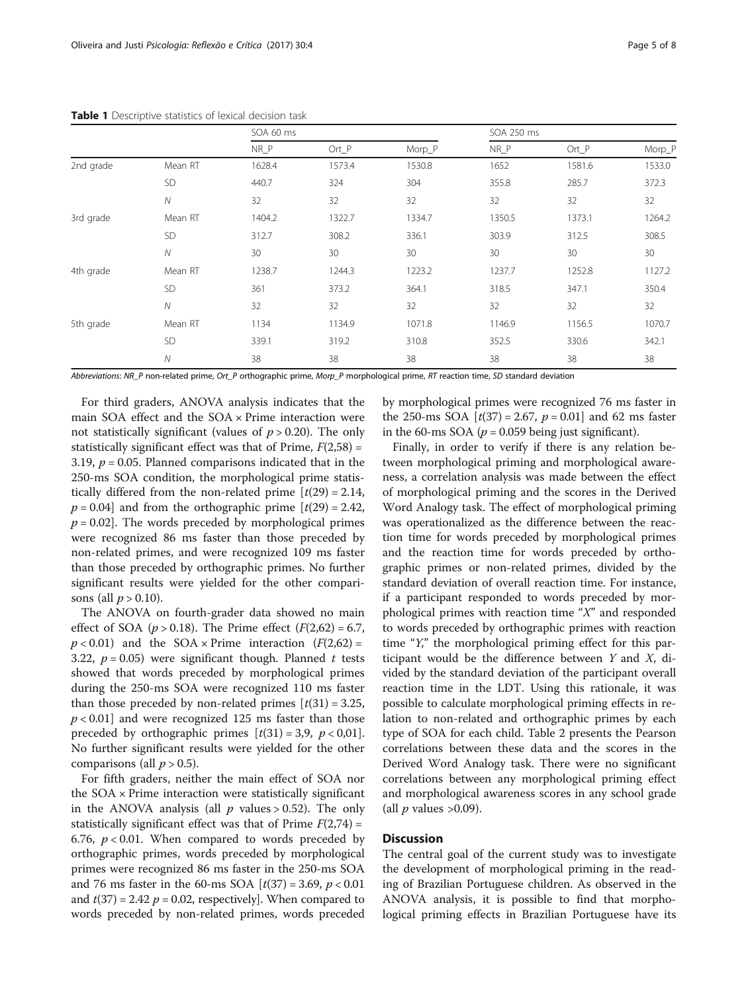<span id="page-4-0"></span>Table 1 Descriptive statistics of lexical decision task

|           |              | SOA 60 ms |         |        | SOA 250 ms |         |        |
|-----------|--------------|-----------|---------|--------|------------|---------|--------|
|           |              | NR_P      | $Ort_P$ | Morp_P | NR_P       | $Ort_P$ | Morp_P |
| 2nd grade | Mean RT      | 1628.4    | 1573.4  | 1530.8 | 1652       | 1581.6  | 1533.0 |
|           | <b>SD</b>    | 440.7     | 324     | 304    | 355.8      | 285.7   | 372.3  |
|           | $\mathcal N$ | 32        | 32      | 32     | 32         | 32      | 32     |
| 3rd grade | Mean RT      | 1404.2    | 1322.7  | 1334.7 | 1350.5     | 1373.1  | 1264.2 |
|           | <b>SD</b>    | 312.7     | 308.2   | 336.1  | 303.9      | 312.5   | 308.5  |
|           | ${\cal N}$   | 30        | 30      | 30     | 30         | 30      | 30     |
| 4th grade | Mean RT      | 1238.7    | 1244.3  | 1223.2 | 1237.7     | 1252.8  | 1127.2 |
|           | <b>SD</b>    | 361       | 373.2   | 364.1  | 318.5      | 347.1   | 350.4  |
|           | ${\cal N}$   | 32        | 32      | 32     | 32         | 32      | 32     |
| 5th grade | Mean RT      | 1134      | 1134.9  | 1071.8 | 1146.9     | 1156.5  | 1070.7 |
|           | <b>SD</b>    | 339.1     | 319.2   | 310.8  | 352.5      | 330.6   | 342.1  |
|           | $\mathcal N$ | 38        | 38      | 38     | 38         | 38      | 38     |

Abbreviations: NR\_P non-related prime, Ort\_P orthographic prime, Morp\_P morphological prime, RT reaction time, SD standard deviation

For third graders, ANOVA analysis indicates that the main SOA effect and the SOA × Prime interaction were not statistically significant (values of  $p > 0.20$ ). The only statistically significant effect was that of Prime,  $F(2,58) =$ 3.19,  $p = 0.05$ . Planned comparisons indicated that in the 250-ms SOA condition, the morphological prime statistically differed from the non-related prime  $[t(29) = 2.14,$  $p = 0.04$ ] and from the orthographic prime  $\left[t(29) = 2.42\right]$ ,  $p = 0.02$ . The words preceded by morphological primes were recognized 86 ms faster than those preceded by non-related primes, and were recognized 109 ms faster than those preceded by orthographic primes. No further significant results were yielded for the other comparisons (all  $p > 0.10$ ).

The ANOVA on fourth-grader data showed no main effect of SOA ( $p > 0.18$ ). The Prime effect ( $F(2,62) = 6.7$ ,  $p < 0.01$ ) and the SOA × Prime interaction ( $F(2,62) =$ 3.22,  $p = 0.05$ ) were significant though. Planned t tests showed that words preceded by morphological primes during the 250-ms SOA were recognized 110 ms faster than those preceded by non-related primes  $[t(31) = 3.25,$  $p < 0.01$ ] and were recognized 125 ms faster than those preceded by orthographic primes  $[t(31) = 3,9, p < 0,01]$ . No further significant results were yielded for the other comparisons (all  $p > 0.5$ ).

For fifth graders, neither the main effect of SOA nor the  $SOA \times Prime$  interaction were statistically significant in the ANOVA analysis (all  $p$  values > 0.52). The only statistically significant effect was that of Prime  $F(2,74) =$ 6.76,  $p < 0.01$ . When compared to words preceded by orthographic primes, words preceded by morphological primes were recognized 86 ms faster in the 250-ms SOA and 76 ms faster in the 60-ms SOA  $[t(37) = 3.69, p < 0.01]$ and  $t(37) = 2.42$   $p = 0.02$ , respectively]. When compared to words preceded by non-related primes, words preceded

by morphological primes were recognized 76 ms faster in the 250-ms SOA  $[t(37) = 2.67, p = 0.01]$  and 62 ms faster in the 60-ms SOA ( $p = 0.059$  being just significant).

Finally, in order to verify if there is any relation between morphological priming and morphological awareness, a correlation analysis was made between the effect of morphological priming and the scores in the Derived Word Analogy task. The effect of morphological priming was operationalized as the difference between the reaction time for words preceded by morphological primes and the reaction time for words preceded by orthographic primes or non-related primes, divided by the standard deviation of overall reaction time. For instance, if a participant responded to words preceded by morphological primes with reaction time " $X$ " and responded to words preceded by orthographic primes with reaction time "Y," the morphological priming effect for this participant would be the difference between  $Y$  and  $X$ , divided by the standard deviation of the participant overall reaction time in the LDT. Using this rationale, it was possible to calculate morphological priming effects in relation to non-related and orthographic primes by each type of SOA for each child. Table [2](#page-5-0) presents the Pearson correlations between these data and the scores in the Derived Word Analogy task. There were no significant correlations between any morphological priming effect and morphological awareness scores in any school grade (all  $p$  values >0.09).

#### **Discussion**

The central goal of the current study was to investigate the development of morphological priming in the reading of Brazilian Portuguese children. As observed in the ANOVA analysis, it is possible to find that morphological priming effects in Brazilian Portuguese have its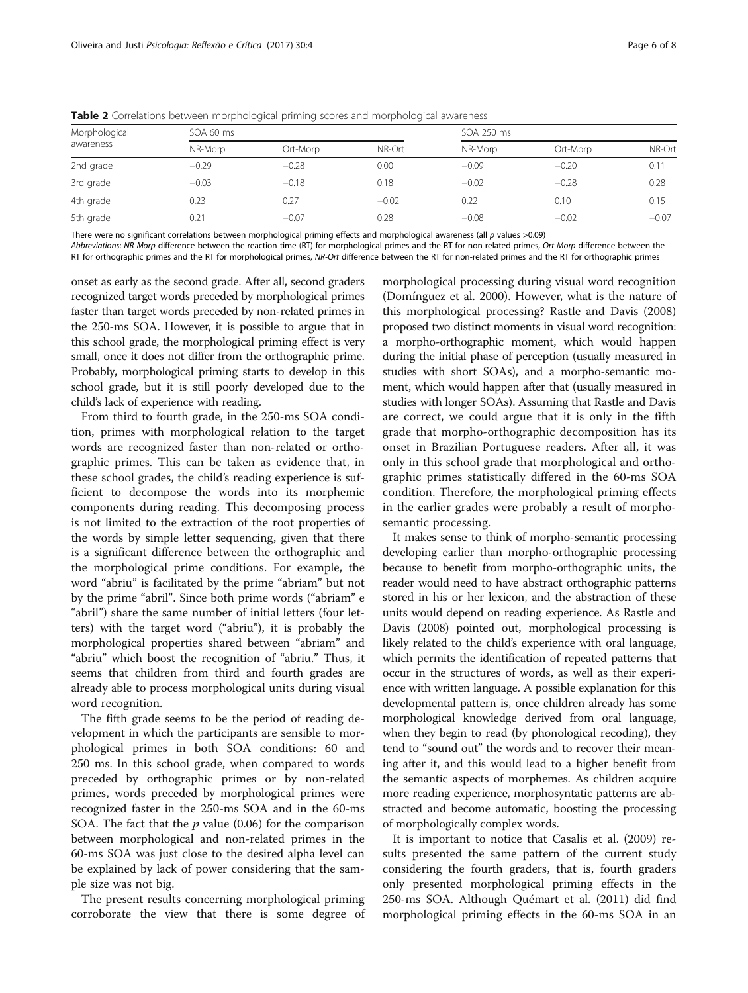| Morphological | SOA 60 ms |          | SOA 250 ms |         |          |         |
|---------------|-----------|----------|------------|---------|----------|---------|
| awareness     | NR-Morp   | Ort-Morp | NR-Ort     | NR-Morp | Ort-Morp | NR-Ort  |
| 2nd grade     | $-0.29$   | $-0.28$  | 0.00       | $-0.09$ | $-0.20$  | 0.11    |
| 3rd grade     | $-0.03$   | $-0.18$  | 0.18       | $-0.02$ | $-0.28$  | 0.28    |
| 4th grade     | 0.23      | 0.27     | $-0.02$    | 0.22    | 0.10     | 0.15    |
| 5th grade     | 0.21      | $-0.07$  | 0.28       | $-0.08$ | $-0.02$  | $-0.07$ |

<span id="page-5-0"></span>Table 2 Correlations between morphological priming scores and morphological awareness

There were no significant correlations between morphological priming effects and morphological awareness (all p values >0.09)<br>Abbreviations: NR-Morp difference between the reaction time (RT) for morphological primes and th

Abbreviations: NR-Morp difference between the reaction time (RT) for morphological primes and the RT for non-related primes, Ort-Morp difference between the<br>RT for orthographic primes and the RT for morphological primes. N RT for orthographic primes and the RT for morphological primes, NR-Ort difference between the RT for non-related primes and the RT for orthographic primes

onset as early as the second grade. After all, second graders recognized target words preceded by morphological primes faster than target words preceded by non-related primes in the 250-ms SOA. However, it is possible to argue that in this school grade, the morphological priming effect is very small, once it does not differ from the orthographic prime. Probably, morphological priming starts to develop in this school grade, but it is still poorly developed due to the child's lack of experience with reading.

From third to fourth grade, in the 250-ms SOA condition, primes with morphological relation to the target words are recognized faster than non-related or orthographic primes. This can be taken as evidence that, in these school grades, the child's reading experience is sufficient to decompose the words into its morphemic components during reading. This decomposing process is not limited to the extraction of the root properties of the words by simple letter sequencing, given that there is a significant difference between the orthographic and the morphological prime conditions. For example, the word "abriu" is facilitated by the prime "abriam" but not by the prime "abril". Since both prime words ("abriam" e "abril") share the same number of initial letters (four letters) with the target word ("abriu"), it is probably the morphological properties shared between "abriam" and "abriu" which boost the recognition of "abriu." Thus, it seems that children from third and fourth grades are already able to process morphological units during visual word recognition.

The fifth grade seems to be the period of reading development in which the participants are sensible to morphological primes in both SOA conditions: 60 and 250 ms. In this school grade, when compared to words preceded by orthographic primes or by non-related primes, words preceded by morphological primes were recognized faster in the 250-ms SOA and in the 60-ms SOA. The fact that the  $p$  value (0.06) for the comparison between morphological and non-related primes in the 60-ms SOA was just close to the desired alpha level can be explained by lack of power considering that the sample size was not big.

The present results concerning morphological priming corroborate the view that there is some degree of

morphological processing during visual word recognition (Domínguez et al. [2000](#page-7-0)). However, what is the nature of this morphological processing? Rastle and Davis ([2008](#page-7-0)) proposed two distinct moments in visual word recognition: a morpho-orthographic moment, which would happen during the initial phase of perception (usually measured in studies with short SOAs), and a morpho-semantic moment, which would happen after that (usually measured in studies with longer SOAs). Assuming that Rastle and Davis are correct, we could argue that it is only in the fifth grade that morpho-orthographic decomposition has its onset in Brazilian Portuguese readers. After all, it was only in this school grade that morphological and orthographic primes statistically differed in the 60-ms SOA condition. Therefore, the morphological priming effects in the earlier grades were probably a result of morphosemantic processing.

It makes sense to think of morpho-semantic processing developing earlier than morpho-orthographic processing because to benefit from morpho-orthographic units, the reader would need to have abstract orthographic patterns stored in his or her lexicon, and the abstraction of these units would depend on reading experience. As Rastle and Davis [\(2008\)](#page-7-0) pointed out, morphological processing is likely related to the child's experience with oral language, which permits the identification of repeated patterns that occur in the structures of words, as well as their experience with written language. A possible explanation for this developmental pattern is, once children already has some morphological knowledge derived from oral language, when they begin to read (by phonological recoding), they tend to "sound out" the words and to recover their meaning after it, and this would lead to a higher benefit from the semantic aspects of morphemes. As children acquire more reading experience, morphosyntatic patterns are abstracted and become automatic, boosting the processing of morphologically complex words.

It is important to notice that Casalis et al. [\(2009\)](#page-6-0) results presented the same pattern of the current study considering the fourth graders, that is, fourth graders only presented morphological priming effects in the 250-ms SOA. Although Quémart et al. [\(2011\)](#page-7-0) did find morphological priming effects in the 60-ms SOA in an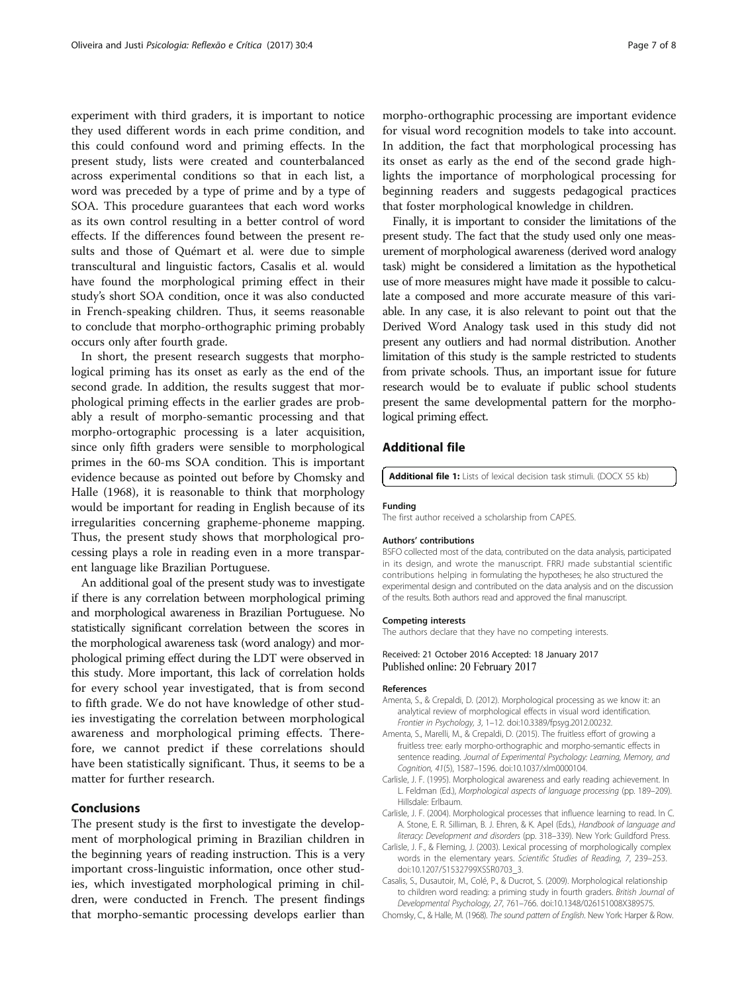<span id="page-6-0"></span>experiment with third graders, it is important to notice they used different words in each prime condition, and this could confound word and priming effects. In the present study, lists were created and counterbalanced across experimental conditions so that in each list, a word was preceded by a type of prime and by a type of SOA. This procedure guarantees that each word works as its own control resulting in a better control of word effects. If the differences found between the present results and those of Quémart et al. were due to simple transcultural and linguistic factors, Casalis et al. would have found the morphological priming effect in their study's short SOA condition, once it was also conducted in French-speaking children. Thus, it seems reasonable to conclude that morpho-orthographic priming probably occurs only after fourth grade.

In short, the present research suggests that morphological priming has its onset as early as the end of the second grade. In addition, the results suggest that morphological priming effects in the earlier grades are probably a result of morpho-semantic processing and that morpho-ortographic processing is a later acquisition, since only fifth graders were sensible to morphological primes in the 60-ms SOA condition. This is important evidence because as pointed out before by Chomsky and Halle (1968), it is reasonable to think that morphology would be important for reading in English because of its irregularities concerning grapheme-phoneme mapping. Thus, the present study shows that morphological processing plays a role in reading even in a more transparent language like Brazilian Portuguese.

An additional goal of the present study was to investigate if there is any correlation between morphological priming and morphological awareness in Brazilian Portuguese. No statistically significant correlation between the scores in the morphological awareness task (word analogy) and morphological priming effect during the LDT were observed in this study. More important, this lack of correlation holds for every school year investigated, that is from second to fifth grade. We do not have knowledge of other studies investigating the correlation between morphological awareness and morphological priming effects. Therefore, we cannot predict if these correlations should have been statistically significant. Thus, it seems to be a matter for further research.

### Conclusions

The present study is the first to investigate the development of morphological priming in Brazilian children in the beginning years of reading instruction. This is a very important cross-linguistic information, once other studies, which investigated morphological priming in children, were conducted in French. The present findings that morpho-semantic processing develops earlier than morpho-orthographic processing are important evidence for visual word recognition models to take into account. In addition, the fact that morphological processing has its onset as early as the end of the second grade highlights the importance of morphological processing for beginning readers and suggests pedagogical practices that foster morphological knowledge in children.

Finally, it is important to consider the limitations of the present study. The fact that the study used only one measurement of morphological awareness (derived word analogy task) might be considered a limitation as the hypothetical use of more measures might have made it possible to calculate a composed and more accurate measure of this variable. In any case, it is also relevant to point out that the Derived Word Analogy task used in this study did not present any outliers and had normal distribution. Another limitation of this study is the sample restricted to students from private schools. Thus, an important issue for future research would be to evaluate if public school students present the same developmental pattern for the morphological priming effect.

#### Additional file

[Additional file 1:](dx.doi.org/10.1186/s41155-017-0058-8) Lists of lexical decision task stimuli. (DOCX 55 kb)

#### Funding

The first author received a scholarship from CAPES.

#### Authors' contributions

BSFO collected most of the data, contributed on the data analysis, participated in its design, and wrote the manuscript. FRRJ made substantial scientific contributions helping in formulating the hypotheses; he also structured the experimental design and contributed on the data analysis and on the discussion of the results. Both authors read and approved the final manuscript.

#### Competing interests

The authors declare that they have no competing interests.

Received: 21 October 2016 Accepted: 18 January 2017 Published online: 20 February 2017

#### References

- Amenta, S., & Crepaldi, D. (2012). Morphological processing as we know it: an analytical review of morphological effects in visual word identification. Frontier in Psychology, 3, 1–12. doi[:10.3389/fpsyg.2012.00232.](http://dx.doi.org/10.3389/fpsyg.2012.00232)
- Amenta, S., Marelli, M., & Crepaldi, D. (2015). The fruitless effort of growing a fruitless tree: early morpho-orthographic and morpho-semantic effects in sentence reading. Journal of Experimental Psychology: Learning, Memory, and Cognition, 41(5), 1587–1596. doi[:10.1037/xlm0000104.](http://dx.doi.org/10.1037/xlm0000104)
- Carlisle, J. F. (1995). Morphological awareness and early reading achievement. In L. Feldman (Ed.), Morphological aspects of language processing (pp. 189–209). Hillsdale: Erlbaum.
- Carlisle, J. F. (2004). Morphological processes that influence learning to read. In C. A. Stone, E. R. Silliman, B. J. Ehren, & K. Apel (Eds.), Handbook of language and literacy: Development and disorders (pp. 318–339). New York: Guildford Press.
- Carlisle, J. F., & Fleming, J. (2003). Lexical processing of morphologically complex words in the elementary years. Scientific Studies of Reading, 7, 239–253. doi[:10.1207/S1532799XSSR0703\\_3.](http://dx.doi.org/10.1207/S1532799XSSR0703_3)
- Casalis, S., Dusautoir, M., Colé, P., & Ducrot, S. (2009). Morphological relationship to children word reading: a priming study in fourth graders. British Journal of Developmental Psychology, 27, 761–766. doi:[10.1348/026151008X389575](http://dx.doi.org/10.1348/026151008X389575).
- Chomsky, C., & Halle, M. (1968). The sound pattern of English. New York: Harper & Row.